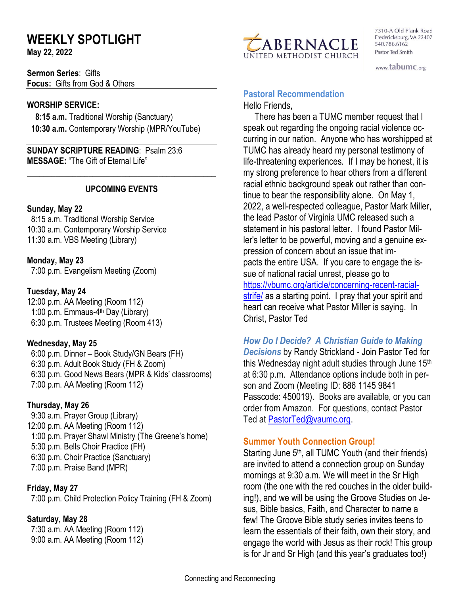# **WEEKLY SPOTLIGHT**

**May 22, 2022** 

**Sermon Series**: Gifts **Focus:** Gifts from God & Others

### **WORSHIP SERVICE:**

 **8:15 a.m.** Traditional Worship (Sanctuary)  **10:30 a.m.** Contemporary Worship (MPR/YouTube)

**SUNDAY SCRIPTURE READING**: Psalm 23:6 **MESSAGE:** "The Gift of Eternal Life"

### **UPCOMING EVENTS**

\_\_\_\_\_\_\_\_\_\_\_\_\_\_\_\_\_\_\_\_\_\_\_\_\_\_\_\_\_\_\_\_\_\_\_\_\_\_\_\_\_\_\_\_\_\_

#### **Sunday, May 22**

8:15 a.m. Traditional Worship Service 10:30 a.m. Contemporary Worship Service 11:30 a.m. VBS Meeting (Library)

**Monday, May 23** 7:00 p.m. Evangelism Meeting (Zoom)

### **Tuesday, May 24**

12:00 p.m. AA Meeting (Room 112) 1:00 p.m. Emmaus-4<sup>th</sup> Day (Library) 6:30 p.m. Trustees Meeting (Room 413)

### **Wednesday, May 25**

 6:00 p.m. Dinner – Book Study/GN Bears (FH) 6:30 p.m. Adult Book Study (FH & Zoom) 6:30 p.m. Good News Bears (MPR & Kids' classrooms) 7:00 p.m. AA Meeting (Room 112)

### **Thursday, May 26**

9:30 a.m. Prayer Group (Library) 12:00 p.m. AA Meeting (Room 112) 1:00 p.m. Prayer Shawl Ministry (The Greene's home) 5:30 p.m. Bells Choir Practice (FH) 6:30 p.m. Choir Practice (Sanctuary) 7:00 p.m. Praise Band (MPR)

### **Friday, May 27**

7:00 p.m. Child Protection Policy Training (FH & Zoom)

### **Saturday, May 28**

 7:30 a.m. AA Meeting (Room 112) 9:00 a.m. AA Meeting (Room 112)



7310-A Old Plank Road Fredericksburg, VA 22407 540.786.6162 Pastor Ted Smith

www.tabumc.org

# **Pastoral Recommendation**

Hello Friends,

 There has been a TUMC member request that I speak out regarding the ongoing racial violence occurring in our nation. Anyone who has worshipped at TUMC has already heard my personal testimony of life-threatening experiences. If I may be honest, it is my strong preference to hear others from a different racial ethnic background speak out rather than continue to bear the responsibility alone. On May 1, 2022, a well-respected colleague, Pastor Mark Miller, the lead Pastor of Virginia UMC released such a statement in his pastoral letter. I found Pastor Miller's letter to be powerful, moving and a genuine expression of concern about an issue that impacts the entire USA. If you care to engage the issue of national racial unrest, please go to [https://vbumc.org/article/concerning-recent-racial](https://vbumc.org/article/concerning-recent-racial-strife/)[strife/](https://vbumc.org/article/concerning-recent-racial-strife/) as a starting point. I pray that your spirit and heart can receive what Pastor Miller is saying. In Christ, Pastor Ted

## *How Do I Decide? A Christian Guide to Making*

*Decisions* by Randy Strickland - Join Pastor Ted for this Wednesday night adult studies through June 15th at 6:30 p.m. Attendance options include both in person and Zoom (Meeting ID: 886 1145 9841 Passcode: 450019). Books are available, or you can order from Amazon. For questions, contact Pastor Ted at [PastorTed@vaumc.org.](mailto:PastorTed@vaumc.org)

### **Summer Youth Connection Group!**

Starting June 5<sup>th</sup>, all TUMC Youth (and their friends) are invited to attend a connection group on Sunday mornings at 9:30 a.m. We will meet in the Sr High room (the one with the red couches in the older building!), and we will be using the Groove Studies on Jesus, Bible basics, Faith, and Character to name a few! The Groove Bible study series invites teens to learn the essentials of their faith, own their story, and engage the world with Jesus as their rock! This group is for Jr and Sr High (and this year's graduates too!)